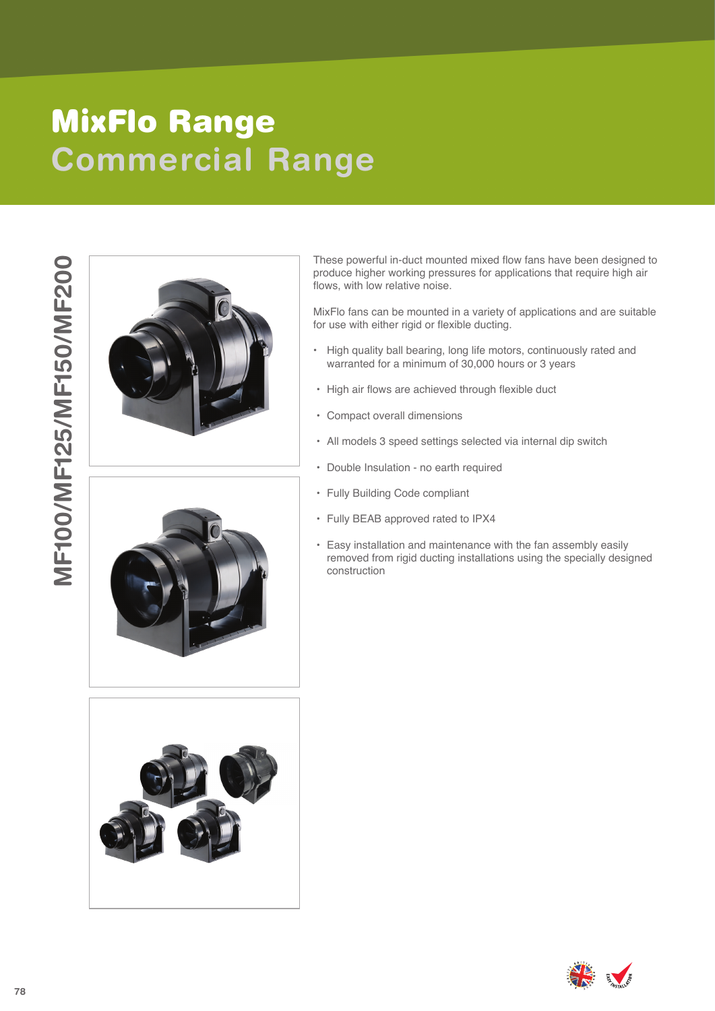## **Commercial Range** MixFlo Range







These powerful in-duct mounted mixed flow fans have been designed to produce higher working pressures for applications that require high air flows, with low relative noise.

MixFlo fans can be mounted in a variety of applications and are suitable for use with either rigid or flexible ducting.

- High quality ball bearing, long life motors, continuously rated and warranted for a minimum of 30,000 hours or 3 years
- High air flows are achieved through flexible duct
- Compact overall dimensions
- All models 3 speed settings selected via internal dip switch
- Double Insulation no earth required
- 
- Fully Building Code compliant Fully BEAB approved rated to IPX4
- Easy installation and maintenance with the fan assembly easily removed from rigid ducting installations using the specially designed construction